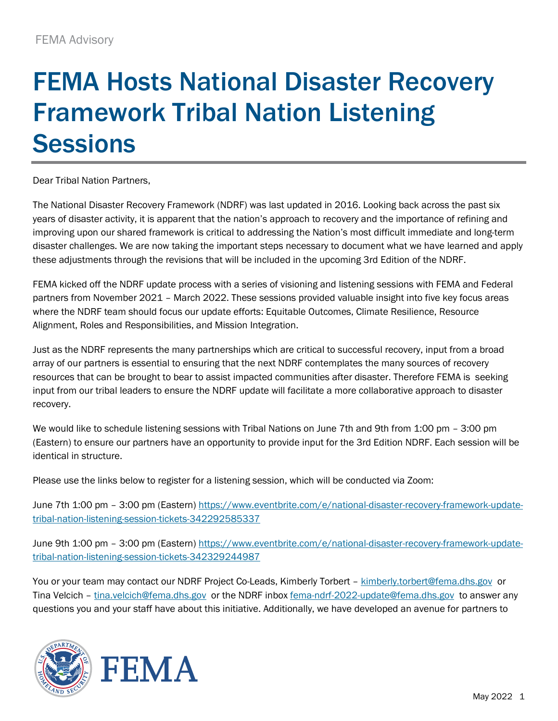## FEMA Hosts National Disaster Recovery Framework Tribal Nation Listening **Sessions**

Dear Tribal Nation Partners,

The National Disaster Recovery Framework (NDRF) was last updated in 2016. Looking back across the past six years of disaster activity, it is apparent that the nation's approach to recovery and the importance of refining and improving upon our shared framework is critical to addressing the Nation's most difficult immediate and long-term disaster challenges. We are now taking the important steps necessary to document what we have learned and apply these adjustments through the revisions that will be included in the upcoming 3rd Edition of the NDRF.

FEMA kicked off the NDRF update process with a series of visioning and listening sessions with FEMA and Federal partners from November 2021 – March 2022. These sessions provided valuable insight into five key focus areas where the NDRF team should focus our update efforts: Equitable Outcomes, Climate Resilience, Resource Alignment, Roles and Responsibilities, and Mission Integration.

Just as the NDRF represents the many partnerships which are critical to successful recovery, input from a broad array of our partners is essential to ensuring that the next NDRF contemplates the many sources of recovery resources that can be brought to bear to assist impacted communities after disaster. Therefore FEMA is seeking input from our tribal leaders to ensure the NDRF update will facilitate a more collaborative approach to disaster recovery.

We would like to schedule listening sessions with Tribal Nations on June 7th and 9th from 1:00 pm - 3:00 pm (Eastern) to ensure our partners have an opportunity to provide input for the 3rd Edition NDRF. Each session will be identical in structure.

Please use the links below to register for a listening session, which will be conducted via Zoom:

June 7th 1:00 pm - 3:00 pm (Eastern) [https://www.eventbrite.com/e/national-disaster-recovery-framework-update](https://www.eventbrite.com/e/national-disaster-recovery-framework-update-tribal-nation-listening-session-tickets-342292585337)[tribal-nation-listening-session-tickets-342292585337](https://www.eventbrite.com/e/national-disaster-recovery-framework-update-tribal-nation-listening-session-tickets-342292585337)

June 9th 1:00 pm – 3:00 pm (Eastern) [https://www.eventbrite.com/e/national-disaster-recovery-framework-update](https://www.eventbrite.com/e/national-disaster-recovery-framework-update-tribal-nation-listening-session-tickets-342329244987)[tribal-nation-listening-session-tickets-342329244987](https://www.eventbrite.com/e/national-disaster-recovery-framework-update-tribal-nation-listening-session-tickets-342329244987)

You or your team may contact our NDRF Project Co-Leads, Kimberly Torbert - [kimberly.torbert@fema.dhs.gov](mailto:kimberly.torbert@fema.dhs.gov) or Tina Velcich – [tina.velcich@fema.dhs.gov](mailto:tina.velcich@fema.dhs.gov) or the NDRF inbox [fema-ndrf-2022-update@fema.dhs.gov](mailto:fema-ndrf-2022-update@fema.dhs.gov) to answer any questions you and your staff have about this initiative. Additionally, we have developed an avenue for partners to